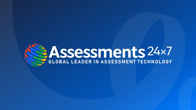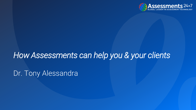

# *How Assessments can help you & your clients*

Dr. Tony Alessandra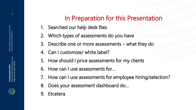# In Preparation for this Presentation

- 1. Searched our help desk files
- 2. Which types of assessments do you have
- 3. Describe one or more assessments what they do
- 4. Can I customize/ white label?
- 5. How should I price assessments for my clients
- 6. How can I use assessments for…
- 7. How can I use assessments for employee hiring/selection?
- 8. Does your assessment dashboard do…
- 9. Etcetera

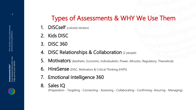# Types of Assessments & WHY We Use Them

- 1. **DISCself** (colored stickers)
- 2. Kids DISC
- 3. DISC 360
- 4. DISC Relationships & Collaboration (2 people)
- 5. Motivators (Aesthetic, Economic, Individualistic, Power, Altruistic, Regulatory, Theoretical)
- **6.** HireSense (DISC, Motivators & Critical Thinking (HVP))
- 7. Emotional Intelligence 360
- 8. Sales IQ

(Preparation - Targeting - Connecting - Assessing - Collaborating - Confirming– Assuring - Managing)

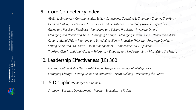#### 9. Core Competency Index

*Ability to Empower - Communication Skills - Counseling, Coaching & Training - Creative Thinking - Decision Making - Delegation Skills - Drive and Persistence - Exceeding Customer Expectations – Giving and Receiving Feedback - Identifying and Solving Problems - Involving Others – Managing and Prioritizing Time - Managing Change – Managing Interruptions - Negotiating Skills - Organizational Skills – Planning and Scheduling Work – Proactive Thinking - Resolving Conflict – Setting Goals and Standards - Stress Management – Temperament & Disposition – Thinking Clearly and Analytically – Tolerance - Empathy and Understanding - Visualizing the Future*

#### 10. Leadership Effectiveness (LE) 360

*Communication Skills - Decision-Making – Delegation - Emotional Intelligence – Managing Change - Setting Goals and Standards - Team Building - Visualizing the Future*

#### **11. 5 Disciplines** (larger businesses)

*Strategy – Business Development – People – Execution – Mission* 

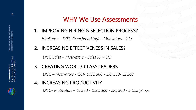## WHY We Use Assessments

1. IMPROVING HIRING & SELECTION PROCESS?

*HireSense – DISC (benchmarking) – Motivators - CCI* 

2. INCREASING EFFECTIVENESS IN SALES?

*DISC Sales – Motivators - Sales IQ - CCI* 

3. CREATING WORLD-CLASS LEADERS

*DISC – Motivators - CCI- DISC 360 - EIQ 360- LE 360*

4. INCREASING PRODUCTIVITY

*DISC- Motivators – LE 360 - DISC 360 - EIQ 360 - 5 Disciplines*

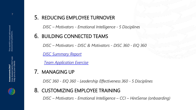#### 5. REDUCING EMPLOYEE TURNOVER

*DISC – Motivators - Emotional Intelligence - 5 Disciplines*

#### 6. BUILDING CONNECTED TEAMS

*DISC – Motivators - DISC & Motivators - DISC 360 - EIQ 360* 

*[DISC Summary Report](DISC Summary Report.pdf)*

*[Team Application Exercise](Team Application Exercise.pdf)*

### 7. MANAGING UP

*DISC 360 - EIQ 360 - Leadership Effectiveness 360 - 5 Disciplines*

### 8. CUSTOMIZING EMPLOYEE TRAINING

*DISC – Motivators - Emotional Intelligence – CCI – HireSense (onboarding)*

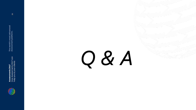

Assessments 24x7<br>How Assessments 24x7 can<br>help you & your clients How Assessments 24x7 can help you & your clients

*Q & A*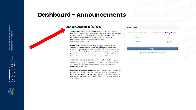## **Dashboard - Announcements**

Assessments 24x7<br>How Assessments 24x7 can<br>help you & your clients How Assessments 24x7 can help you & your clients



#### Announcements (2/22/2022)

- . THE DISC DAILY: DISC Daily is a simple, daily reminder to focus on your growth and development. The messages are easy to implement. They help you think about your main goals as well as your most important relationships. We recommend this tool to anyone committed to professional or personal growth and development! https://discdailycoach.com
- GET CERTIFIED: Whether you're looking for bigger contracts or want to deepen your connection with your clients, getting DISC Practitioner Certified is a great first step. Certified Practitioners offer unique expertise and perspective and rate stronger when interacting with others, which leads to success in attracting more clients and referrals.If you'd like more information, reach out to us at sales@assessments24x7.com.
- ASSESSMENT HIGHLIGHT HIRESENSE!: If you are involved in hiring and selection at any level, we urge you to check out HireSense, a product we created specifically for that space. Finding the right talent is hard. HireSense makes it easier!
- ASSESSMENTS 24X7 COMMUNITY HUB: We invite you to join us to share your knowledge and interact with other professionals in the assessment industry on our Assessments 24x7 Community Hub. This free resource is a fantastic online knowledge resource for DISC and our other assessments! Join us here.

| <b>Account Login</b>                                                  |               |   |  |
|-----------------------------------------------------------------------|---------------|---|--|
| Please enter your username and password, then click the Login button. |               |   |  |
|                                                                       | Username<br>ᄑ | * |  |
|                                                                       | Password<br>▥ | * |  |
| Login                                                                 |               |   |  |

Forgot Username or Password? Click Here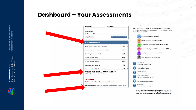#### **Dashboard – Your Assessments**

How Assessments 24x7 can help you & your clients

Assessments 24x7<br>How Assessments 24x7 can<br>help you & your clients

|                                                                          | <b>Last Name:</b>                                            |
|--------------------------------------------------------------------------|--------------------------------------------------------------|
|                                                                          |                                                              |
|                                                                          | Send Assessment Email                                        |
|                                                                          |                                                              |
|                                                                          | ActionCOACH Entrepreneur Assessment<br>68                    |
|                                                                          | Change Management Effectiveness Profile<br>961               |
|                                                                          | 962                                                          |
|                                                                          | 1066                                                         |
|                                                                          | 1000                                                         |
|                                                                          | 93                                                           |
|                                                                          | 962                                                          |
|                                                                          | <b>ORDER ADDITIONAL ASSESSMENTS</b>                          |
|                                                                          | Click on the assessment name above.                          |
|                                                                          |                                                              |
|                                                                          | Click here to transfer credits between eligible Assessments. |
| Generate Invoices - Click here to generate invoices from your purchases. |                                                              |

certification program, use the password you were provided for a longer library of trainer materials. DISC password: a24x72022disc Motivators password: a24x72022mot HVP (Critical Thinking) password: a24x72022hvp Emotional Intelligence (EIQ) password: a24x72022eiq Learning Styles password: a24x72022Is Sales IQ password: a24x72022siq Certification  $\Omega$ **Practitioner Certification** Marketing One-Sheets 圈 Download one-sheets Sample Reports Download Sample PDF reports Demo Assessments  $\mathbf{m}$ Use them for personal demos Webinars  $\blacksquare$ Previously recorded webinars Rate Cards<br>View assessment pricing **Rate Cards** . If this is your first time using our system, please "click here" to download our recommendations for getting started. The full site instruction guide is located on the top menu under resources.

Note: These passwords are for non-certified clients. If you completed a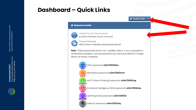## **Dashboard – Quick Links**



#### Resource Center



Virtual Tour Of Your Account A quick overview of your account



**Trainer Materials** FREE trainer materials (passwords below)

Note: These passwords are for non-certified clients. If you completed a certification program, use the password you were provided for a longer library of trainer materials.

 $\rightarrow$  Quick Links

DISC password: a24x72022disc

Motivators password: a24x72022mot

HVP (Critical Thinking) password: a24x72022hvp

Emotional Intelligence (EIQ) password: a24x72022eiq

Learning Styles password: a24x72022Is

Sales IQ password: a24x72022siq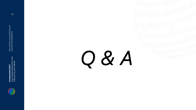

Assessments 24x7<br>How Assessments 24x7 can<br>help you & your clients How Assessments 24x7 can help you & your clients

*Q & A*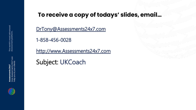## **To receive a copy of todays' slides, email…**

[DrTony@Assessments24x7.com](mailto:DrTony@Assessments24x7.com)

1-858-456-0028

[http://www.Assessments24x7.com](http://www.assessments24x7.com/)

Subject: UKCoach





**Assessment platform.**

The world's most advanced<br>Assessment platform.